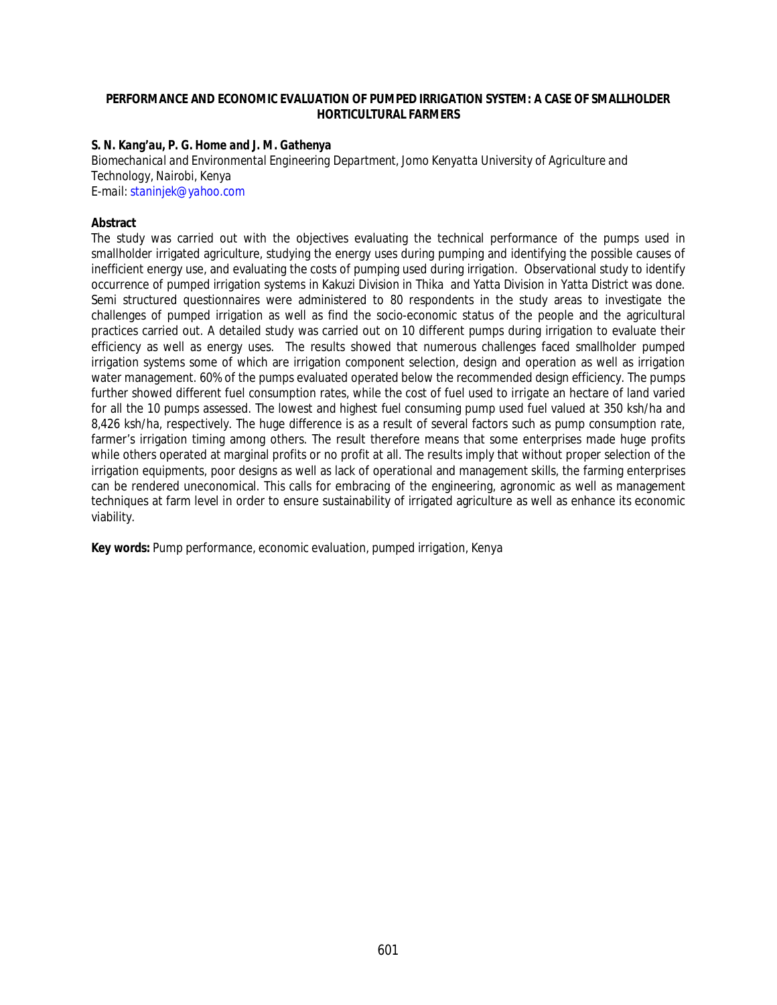#### **PERFORMANCE AND ECONOMIC EVALUATION OF PUMPED IRRIGATION SYSTEM: A CASE OF SMALLHOLDER HORTICULTURAL FARMERS**

#### *S. N. Kang'au, P. G. Home and J. M. Gathenya*

*Biomechanical and Environmental Engineering Department, Jomo Kenyatta University of Agriculture and Technology, Nairobi, Kenya E-mail: staninjek@yahoo.com*

#### **Abstract**

The study was carried out with the objectives evaluating the technical performance of the pumps used in smallholder irrigated agriculture, studying the energy uses during pumping and identifying the possible causes of inefficient energy use, and evaluating the costs of pumping used during irrigation. Observational study to identify occurrence of pumped irrigation systems in Kakuzi Division in Thika and Yatta Division in Yatta District was done. Semi structured questionnaires were administered to 80 respondents in the study areas to investigate the challenges of pumped irrigation as well as find the socio-economic status of the people and the agricultural practices carried out. A detailed study was carried out on 10 different pumps during irrigation to evaluate their efficiency as well as energy uses. The results showed that numerous challenges faced smallholder pumped irrigation systems some of which are irrigation component selection, design and operation as well as irrigation water management. 60% of the pumps evaluated operated below the recommended design efficiency. The pumps further showed different fuel consumption rates, while the cost of fuel used to irrigate an hectare of land varied for all the 10 pumps assessed. The lowest and highest fuel consuming pump used fuel valued at 350 ksh/ha and 8,426 ksh/ha, respectively. The huge difference is as a result of several factors such as pump consumption rate, farmer's irrigation timing among others. The result therefore means that some enterprises made huge profits while others operated at marginal profits or no profit at all. The results imply that without proper selection of the irrigation equipments, poor designs as well as lack of operational and management skills, the farming enterprises can be rendered uneconomical. This calls for embracing of the engineering, agronomic as well as management techniques at farm level in order to ensure sustainability of irrigated agriculture as well as enhance its economic viability.

**Key words:** Pump performance, economic evaluation, pumped irrigation, Kenya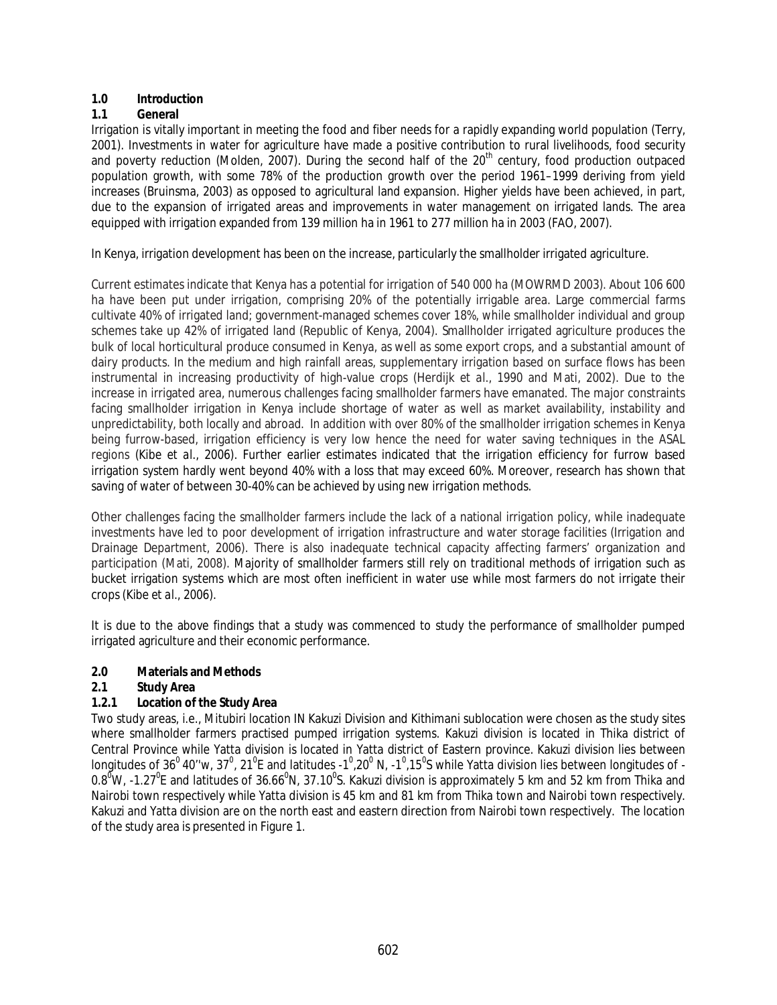## **1.0 Introduction**

## **1.1 General**

Irrigation is vitally important in meeting the food and fiber needs for a rapidly expanding world population (Terry, 2001). Investments in water for agriculture have made a positive contribution to rural livelihoods, food security and poverty reduction (Molden, 2007). During the second half of the  $20<sup>th</sup>$  century, food production outpaced population growth, with some 78% of the production growth over the period 1961–1999 deriving from yield increases (Bruinsma, 2003) as opposed to agricultural land expansion. Higher yields have been achieved, in part, due to the expansion of irrigated areas and improvements in water management on irrigated lands. The area equipped with irrigation expanded from 139 million ha in 1961 to 277 million ha in 2003 (FAO, 2007).

In Kenya, irrigation development has been on the increase, particularly the smallholder irrigated agriculture.

Current estimates indicate that Kenya has a potential for irrigation of 540 000 ha (MOWRMD 2003). About 106 600 ha have been put under irrigation, comprising 20% of the potentially irrigable area. Large commercial farms cultivate 40% of irrigated land; government-managed schemes cover 18%, while smallholder individual and group schemes take up 42% of irrigated land (Republic of Kenya, 2004). Smallholder irrigated agriculture produces the bulk of local horticultural produce consumed in Kenya, as well as some export crops, and a substantial amount of dairy products. In the medium and high rainfall areas, supplementary irrigation based on surface flows has been instrumental in increasing productivity of high-value crops (Herdijk *et al*., 1990 and Mati, 2002). Due to the increase in irrigated area, numerous challenges facing smallholder farmers have emanated. The major constraints facing smallholder irrigation in Kenya include shortage of water as well as market availability, instability and unpredictability, both locally and abroad. In addition with over 80% of the smallholder irrigation schemes in Kenya being furrow-based, irrigation efficiency is very low hence the need for water saving techniques in the ASAL regions (Kibe *et al*., 2006). Further earlier estimates indicated that the irrigation efficiency for furrow based irrigation system hardly went beyond 40% with a loss that may exceed 60%. Moreover, research has shown that saving of water of between 30-40% can be achieved by using new irrigation methods.

Other challenges facing the smallholder farmers include the lack of a national irrigation policy, while inadequate investments have led to poor development of irrigation infrastructure and water storage facilities (Irrigation and Drainage Department, 2006). There is also inadequate technical capacity affecting farmers' organization and participation (Mati, 2008). Majority of smallholder farmers still rely on traditional methods of irrigation such as bucket irrigation systems which are most often inefficient in water use while most farmers do not irrigate their crops (Kibe *et al*., 2006).

It is due to the above findings that a study was commenced to study the performance of smallholder pumped irrigated agriculture and their economic performance.

### **2.0 Materials and Methods**

### **2.1 Study Area**

### **1.2.1 Location of the Study Area**

Two study areas, i.e., Mitubiri location IN Kakuzi Division and Kithimani sublocation were chosen as the study sites where smallholder farmers practised pumped irrigation systems. Kakuzi division is located in Thika district of Central Province while Yatta division is located in Yatta district of Eastern province. Kakuzi division lies between longitudes of 36 $^0$  40′′w, 37 $^0$ , 21 $^0$ E and latitudes -1 $^0$ ,20 $^0$  N, -1 $^0$ ,15 $^0$ S while Yatta division lies between longitudes of -0.8<sup>0</sup>W, -1.27<sup>o</sup>E and latitudes of 36.66<sup>o</sup>N, 37.10<sup>o</sup>S. Kakuzi division is approximately 5 km and 52 km from Thika and Nairobi town respectively while Yatta division is 45 km and 81 km from Thika town and Nairobi town respectively. Kakuzi and Yatta division are on the north east and eastern direction from Nairobi town respectively. The location of the study area is presented in Figure 1.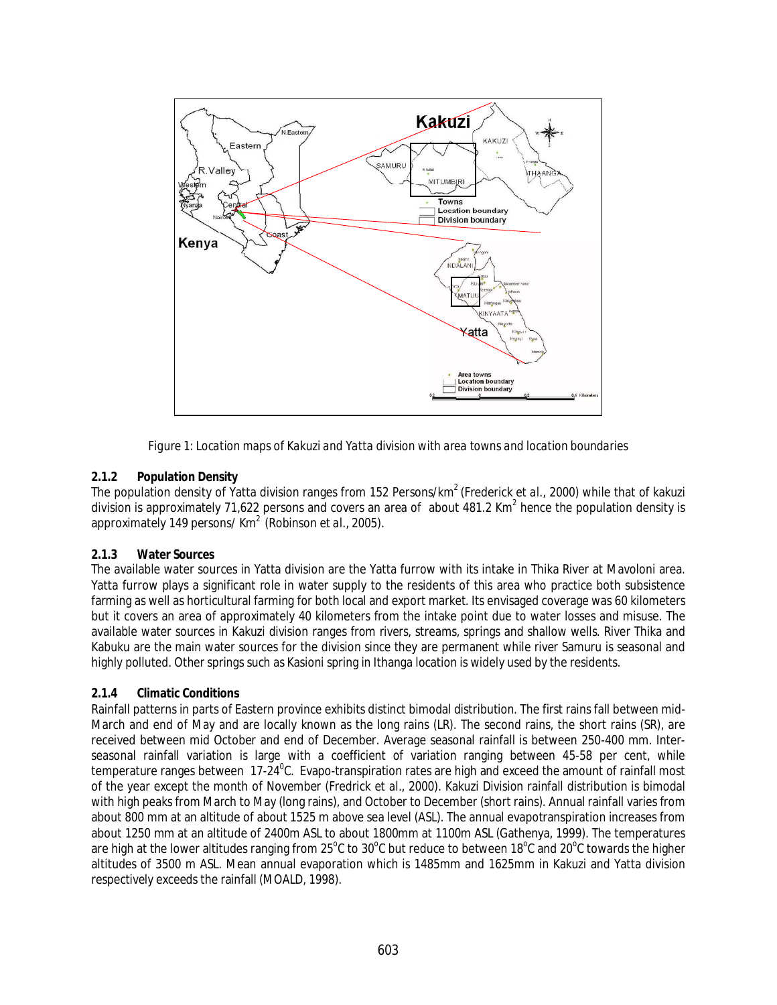

*Figure 1: Location maps of Kakuzi and Yatta division with area towns and location boundaries*

# **2.1.2 Population Density**

The population density of Yatta division ranges from 152 Persons/km<sup>2</sup> (Frederick *et al.*, 2000) while that of kakuzi division is approximately 71,622 persons and covers an area of about 481.2 Km<sup>2</sup> hence the population density is approximately 149 persons/ Km<sup>2</sup> (Robinson *et al.*, 2005).

# **2.1.3 Water Sources**

The available water sources in Yatta division are the Yatta furrow with its intake in Thika River at Mavoloni area. Yatta furrow plays a significant role in water supply to the residents of this area who practice both subsistence farming as well as horticultural farming for both local and export market. Its envisaged coverage was 60 kilometers but it covers an area of approximately 40 kilometers from the intake point due to water losses and misuse. The available water sources in Kakuzi division ranges from rivers, streams, springs and shallow wells. River Thika and Kabuku are the main water sources for the division since they are permanent while river Samuru is seasonal and highly polluted. Other springs such as Kasioni spring in Ithanga location is widely used by the residents.

# **2.1.4 Climatic Conditions**

Rainfall patterns in parts of Eastern province exhibits distinct bimodal distribution. The first rains fall between mid-March and end of May and are locally known as the long rains (LR). The second rains, the short rains (SR), are received between mid October and end of December. Average seasonal rainfall is between 250-400 mm. Interseasonal rainfall variation is large with a coefficient of variation ranging between 45-58 per cent, while temperature ranges between 17-24<sup>0</sup>C. Evapo-transpiration rates are high and exceed the amount of rainfall most of the year except the month of November (Fredrick *et al*., 2000). Kakuzi Division rainfall distribution is bimodal with high peaks from March to May (long rains), and October to December (short rains). Annual rainfall varies from about 800 mm at an altitude of about 1525 m above sea level (ASL). The annual evapotranspiration increases from about 1250 mm at an altitude of 2400m ASL to about 1800mm at 1100m ASL (Gathenya, 1999). The temperatures are high at the lower altitudes ranging from 25°C to 30°C but reduce to between 18°C and 20°C towards the higher altitudes of 3500 m ASL. Mean annual evaporation which is 1485mm and 1625mm in Kakuzi and Yatta division respectively exceeds the rainfall (MOALD, 1998).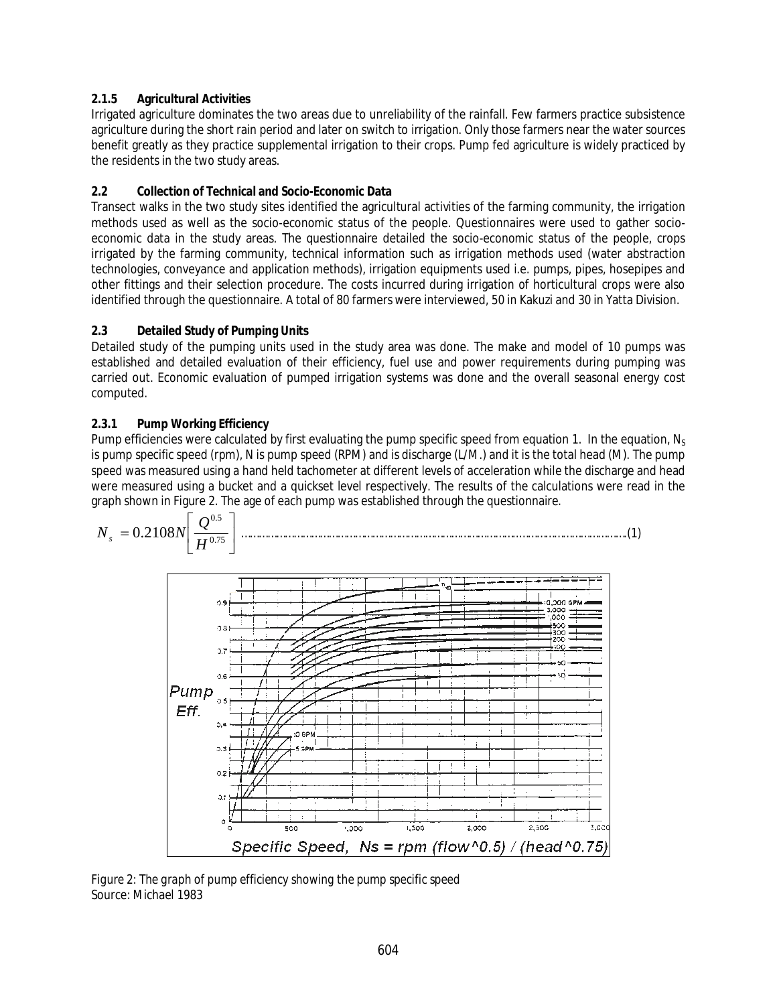# **2.1.5 Agricultural Activities**

Irrigated agriculture dominates the two areas due to unreliability of the rainfall. Few farmers practice subsistence agriculture during the short rain period and later on switch to irrigation. Only those farmers near the water sources benefit greatly as they practice supplemental irrigation to their crops. Pump fed agriculture is widely practiced by the residents in the two study areas.

# **2.2 Collection of Technical and Socio-Economic Data**

Transect walks in the two study sites identified the agricultural activities of the farming community, the irrigation methods used as well as the socio-economic status of the people. Questionnaires were used to gather socioeconomic data in the study areas. The questionnaire detailed the socio-economic status of the people, crops irrigated by the farming community, technical information such as irrigation methods used (water abstraction technologies, conveyance and application methods), irrigation equipments used i.e. pumps, pipes, hosepipes and other fittings and their selection procedure. The costs incurred during irrigation of horticultural crops were also identified through the questionnaire. A total of 80 farmers were interviewed, 50 in Kakuzi and 30 in Yatta Division.

# **2.3 Detailed Study of Pumping Units**

Detailed study of the pumping units used in the study area was done. The make and model of 10 pumps was established and detailed evaluation of their efficiency, fuel use and power requirements during pumping was carried out. Economic evaluation of pumped irrigation systems was done and the overall seasonal energy cost computed.

# **2.3.1 Pump Working Efficiency**

Pump efficiencies were calculated by first evaluating the pump specific speed from equation 1. In the equation,  $N_S$ is pump specific speed (rpm), N is pump speed (RPM) and is discharge (L/M.) and it is the total head (M). The pump speed was measured using a hand held tachometer at different levels of acceleration while the discharge and head were measured using a bucket and a quickset level respectively. The results of the calculations were read in the graph shown in Figure 2. The age of each pump was established through the questionnaire.



*Figure 2: The graph of pump efficiency showing the pump specific speed* Source: Michael 1983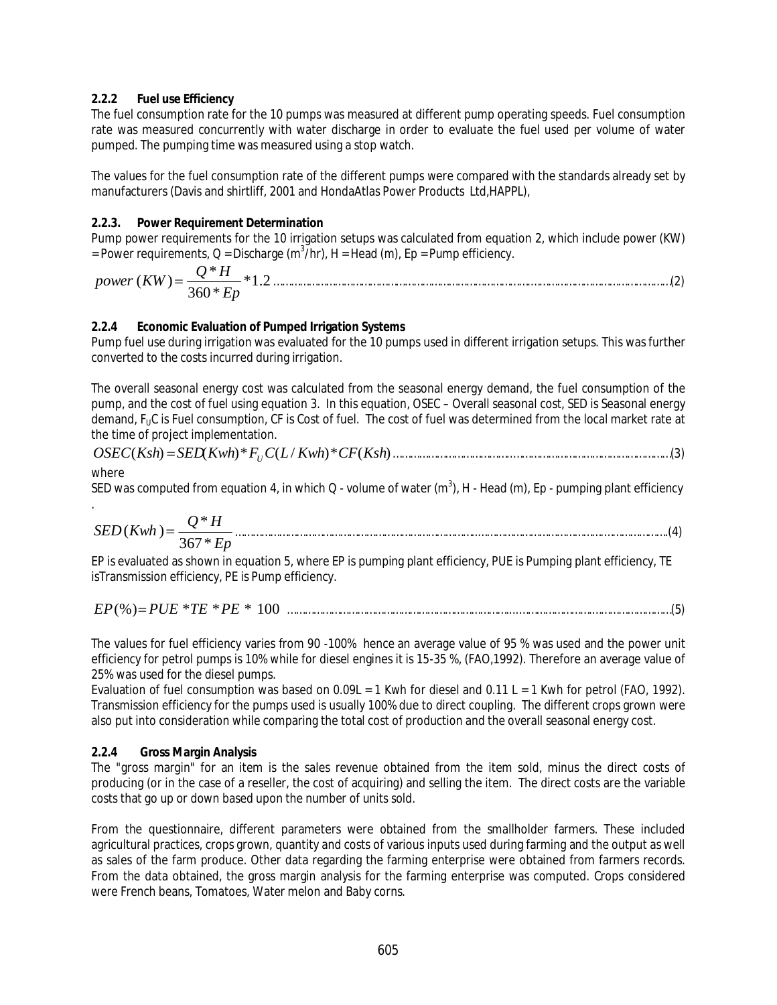### **2.2.2 Fuel use Efficiency**

The fuel consumption rate for the 10 pumps was measured at different pump operating speeds. Fuel consumption rate was measured concurrently with water discharge in order to evaluate the fuel used per volume of water pumped. The pumping time was measured using a stop watch.

The values for the fuel consumption rate of the different pumps were compared with the standards already set by manufacturers (Davis and shirtliff, 2001 and HondaAtlas Power Products Ltd,HAPPL),

#### **2.2.3. Power Requirement Determination**

Pump power requirements for the 10 irrigation setups was calculated from equation 2, which include power (KW) = Power requirements, Q = Discharge (m<sup>3</sup>/hr), H = Head (m), Ep = Pump efficiency.

\*1.2 360\*  $(KW) = \frac{Q^*}{2.58}$ *Ep*  $power (KW) = \frac{Q*H}{2 \times 10^{-4} \text{ s}} * 1.2 \dots$ 

#### **2.2.4 Economic Evaluation of Pumped Irrigation Systems**

Pump fuel use during irrigation was evaluated for the 10 pumps used in different irrigation setups. This was further converted to the costs incurred during irrigation.

The overall seasonal energy cost was calculated from the seasonal energy demand, the fuel consumption of the pump, and the cost of fuel using equation 3. In this equation, OSEC – Overall seasonal cost, SED is Seasonal energy demand, F<sub>U</sub>C is Fuel consumption, CF is Cost of fuel. The cost of fuel was determined from the local market rate at the time of project implementation.

$$
OSEC(Ksh) = SED(Kwh)^* F_U C(L/Kwh)^* CF(Ksh)
$$
.................(3)

where

SED was computed from equation 4, in which Q - volume of water (m $^3$ ), H - Head (m), Ep - pumping plant efficiency .

$$
SED(Kwh) = \frac{Q*H}{367*Ep}
$$
 (4)

EP is evaluated as shown in equation 5, where EP is pumping plant efficiency, PUE is Pumping plant efficiency, TE isTransmission efficiency, PE is Pump efficiency.

$$
EP(%) = PUE * TE * PE * 100
$$

The values for fuel efficiency varies from 90 -100% hence an average value of 95 % was used and the power unit efficiency for petrol pumps is 10% while for diesel engines it is 15-35 %, (FAO,1992). Therefore an average value of 25% was used for the diesel pumps.

Evaluation of fuel consumption was based on 0.09L = 1 Kwh for diesel and  $0.11$  L = 1 Kwh for petrol (FAO, 1992). Transmission efficiency for the pumps used is usually 100% due to direct coupling. The different crops grown were also put into consideration while comparing the total cost of production and the overall seasonal energy cost.

### **2.2.4 Gross Margin Analysis**

The "gross margin" for an item is the sales revenue obtained from the item sold, minus the direct costs of producing (or in the case of a reseller, the cost of acquiring) and selling the item. The direct costs are the variable costs that go up or down based upon the number of units sold.

From the questionnaire, different parameters were obtained from the smallholder farmers. These included agricultural practices, crops grown, quantity and costs of various inputs used during farming and the output as well as sales of the farm produce. Other data regarding the farming enterprise were obtained from farmers records. From the data obtained, the gross margin analysis for the farming enterprise was computed. Crops considered were French beans, Tomatoes, Water melon and Baby corns.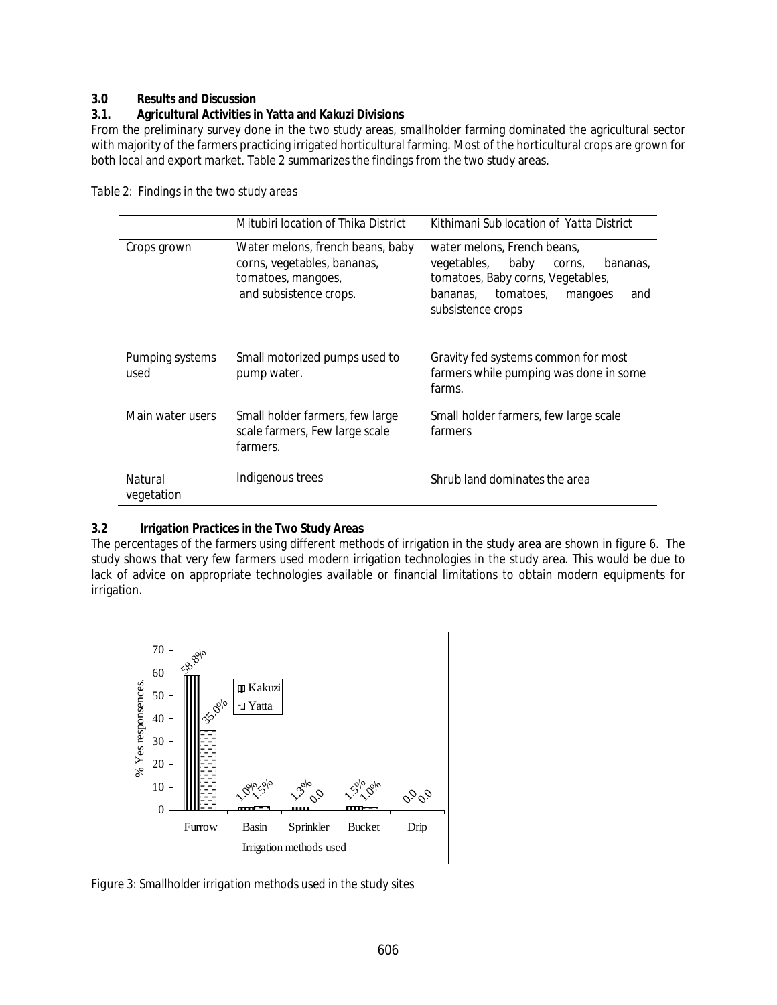### **3.0 Results and Discussion**

#### **3.1. Agricultural Activities in Yatta and Kakuzi Divisions**

From the preliminary survey done in the two study areas, smallholder farming dominated the agricultural sector with majority of the farmers practicing irrigated horticultural farming. Most of the horticultural crops are grown for both local and export market. Table 2 summarizes the findings from the two study areas.

|                         | Mitubiri location of Thika District                                                                             | Kithimani Sub location of Yatta District                                                                                                                                      |  |
|-------------------------|-----------------------------------------------------------------------------------------------------------------|-------------------------------------------------------------------------------------------------------------------------------------------------------------------------------|--|
| Crops grown             | Water melons, french beans, baby<br>corns, vegetables, bananas,<br>tomatoes, mangoes,<br>and subsistence crops. | water melons, French beans,<br>baby<br>vegetables,<br>bananas,<br>corns,<br>tomatoes, Baby corns, Vegetables,<br>tomatoes,<br>bananas.<br>mangoes<br>and<br>subsistence crops |  |
| Pumping systems<br>used | Small motorized pumps used to<br>pump water.                                                                    | Gravity fed systems common for most<br>farmers while pumping was done in some<br>farms.                                                                                       |  |
| Main water users        | Small holder farmers, few large<br>scale farmers, Few large scale<br>farmers.                                   | Small holder farmers, few large scale<br>farmers                                                                                                                              |  |
| Natural<br>vegetation   | Indigenous trees                                                                                                | Shrub land dominates the area                                                                                                                                                 |  |

*Table 2: Findings in the two study areas*

### **3.2 Irrigation Practices in the Two Study Areas**

The percentages of the farmers using different methods of irrigation in the study area are shown in figure 6. The study shows that very few farmers used modern irrigation technologies in the study area. This would be due to lack of advice on appropriate technologies available or financial limitations to obtain modern equipments for irrigation.



*Figure 3: Smallholder irrigation methods used in the study sites*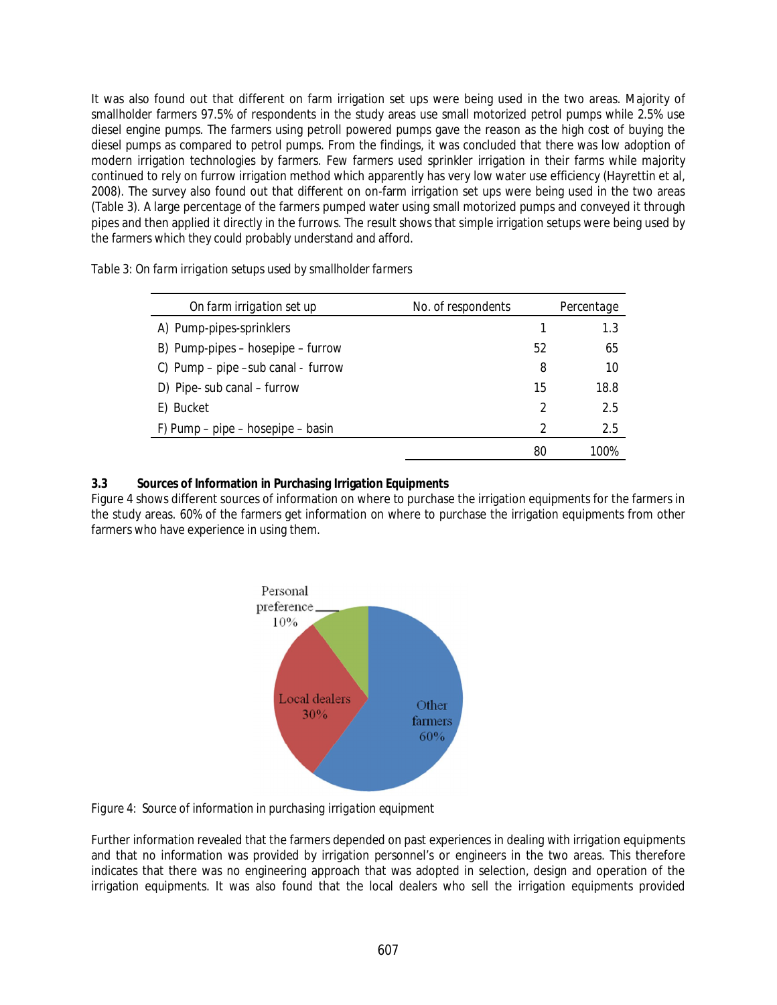It was also found out that different on farm irrigation set ups were being used in the two areas. Majority of smallholder farmers 97.5% of respondents in the study areas use small motorized petrol pumps while 2.5% use diesel engine pumps. The farmers using petroll powered pumps gave the reason as the high cost of buying the diesel pumps as compared to petrol pumps. From the findings, it was concluded that there was low adoption of modern irrigation technologies by farmers. Few farmers used sprinkler irrigation in their farms while majority continued to rely on furrow irrigation method which apparently has very low water use efficiency (Hayrettin et al, 2008). The survey also found out that different on on-farm irrigation set ups were being used in the two areas (Table 3). A large percentage of the farmers pumped water using small motorized pumps and conveyed it through pipes and then applied it directly in the furrows. The result shows that simple irrigation setups were being used by the farmers which they could probably understand and afford.

| On farm irrigation set up           | No. of respondents | Percentage |
|-------------------------------------|--------------------|------------|
| A) Pump-pipes-sprinklers            |                    | 1.3        |
| B) Pump-pipes – hosepipe – furrow   | 52                 | 65         |
| C) Pump - pipe - sub canal - furrow | 8                  | 10         |
| D) Pipe- sub canal - furrow         | 15                 | 18.8       |
| E) Bucket                           |                    | 2.5        |
| F) Pump – pipe – hosepipe – basin   |                    | 2.5        |

*Table 3: On farm irrigation setups used by smallholder farmers*

#### **3.3 Sources of Information in Purchasing Irrigation Equipments**

Figure 4 shows different sources of information on where to purchase the irrigation equipments for the farmers in the study areas. 60% of the farmers get information on where to purchase the irrigation equipments from other farmers who have experience in using them.

80 100%



*Figure 4: Source of information in purchasing irrigation equipment*

Further information revealed that the farmers depended on past experiences in dealing with irrigation equipments and that no information was provided by irrigation personnel's or engineers in the two areas. This therefore indicates that there was no engineering approach that was adopted in selection, design and operation of the irrigation equipments. It was also found that the local dealers who sell the irrigation equipments provided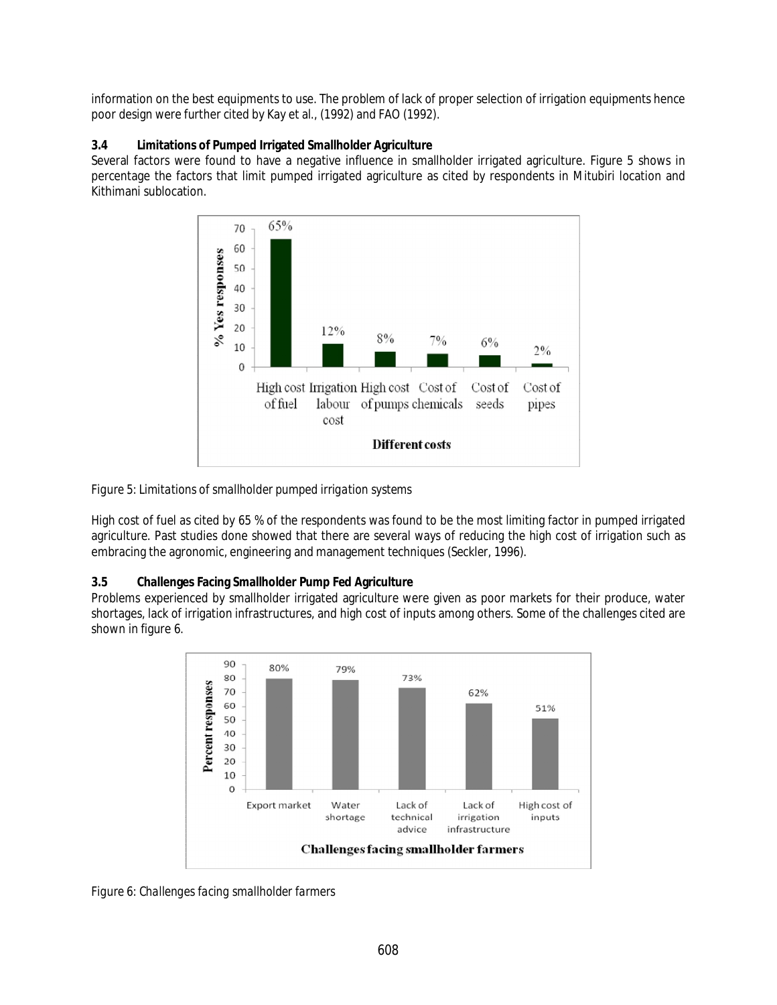information on the best equipments to use. The problem of lack of proper selection of irrigation equipments hence poor design were further cited by Kay et al., (1992) and FAO (1992).

## **3.4 Limitations of Pumped Irrigated Smallholder Agriculture**

Several factors were found to have a negative influence in smallholder irrigated agriculture. Figure 5 shows in percentage the factors that limit pumped irrigated agriculture as cited by respondents in Mitubiri location and Kithimani sublocation.



*Figure 5: Limitations of smallholder pumped irrigation systems*

High cost of fuel as cited by 65 % of the respondents was found to be the most limiting factor in pumped irrigated agriculture. Past studies done showed that there are several ways of reducing the high cost of irrigation such as embracing the agronomic, engineering and management techniques (Seckler, 1996).

# **3.5 Challenges Facing Smallholder Pump Fed Agriculture**

Problems experienced by smallholder irrigated agriculture were given as poor markets for their produce, water shortages, lack of irrigation infrastructures, and high cost of inputs among others. Some of the challenges cited are shown in figure 6.



*Figure 6: Challenges facing smallholder farmers*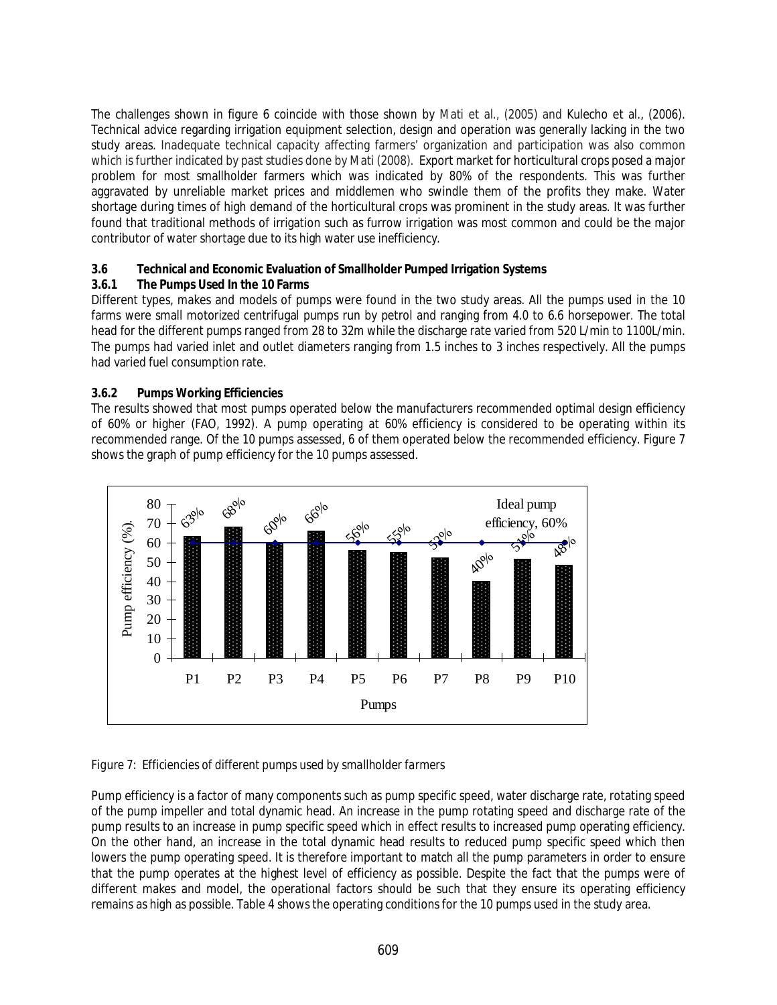The challenges shown in figure 6 coincide with those shown by Mati et al., (2005) and Kulecho et al., (2006). Technical advice regarding irrigation equipment selection, design and operation was generally lacking in the two study areas. Inadequate technical capacity affecting farmers' organization and participation was also common which is further indicated by past studies done by Mati (2008). Export market for horticultural crops posed a major problem for most smallholder farmers which was indicated by 80% of the respondents. This was further aggravated by unreliable market prices and middlemen who swindle them of the profits they make. Water shortage during times of high demand of the horticultural crops was prominent in the study areas. It was further found that traditional methods of irrigation such as furrow irrigation was most common and could be the major contributor of water shortage due to its high water use inefficiency.

## **3.6 Technical and Economic Evaluation of Smallholder Pumped Irrigation Systems**

## **3.6.1 The Pumps Used In the 10 Farms**

Different types, makes and models of pumps were found in the two study areas. All the pumps used in the 10 farms were small motorized centrifugal pumps run by petrol and ranging from 4.0 to 6.6 horsepower. The total head for the different pumps ranged from 28 to 32m while the discharge rate varied from 520 L/min to 1100L/min. The pumps had varied inlet and outlet diameters ranging from 1.5 inches to 3 inches respectively. All the pumps had varied fuel consumption rate.

## **3.6.2 Pumps Working Efficiencies**

The results showed that most pumps operated below the manufacturers recommended optimal design efficiency of 60% or higher (FAO, 1992). A pump operating at 60% efficiency is considered to be operating within its recommended range. Of the 10 pumps assessed, 6 of them operated below the recommended efficiency. Figure 7 shows the graph of pump efficiency for the 10 pumps assessed.



### *Figure 7: Efficiencies of different pumps used by smallholder farmers*

Pump efficiency is a factor of many components such as pump specific speed, water discharge rate, rotating speed of the pump impeller and total dynamic head. An increase in the pump rotating speed and discharge rate of the pump results to an increase in pump specific speed which in effect results to increased pump operating efficiency. On the other hand, an increase in the total dynamic head results to reduced pump specific speed which then lowers the pump operating speed. It is therefore important to match all the pump parameters in order to ensure that the pump operates at the highest level of efficiency as possible. Despite the fact that the pumps were of different makes and model, the operational factors should be such that they ensure its operating efficiency remains as high as possible. Table 4 shows the operating conditions for the 10 pumps used in the study area.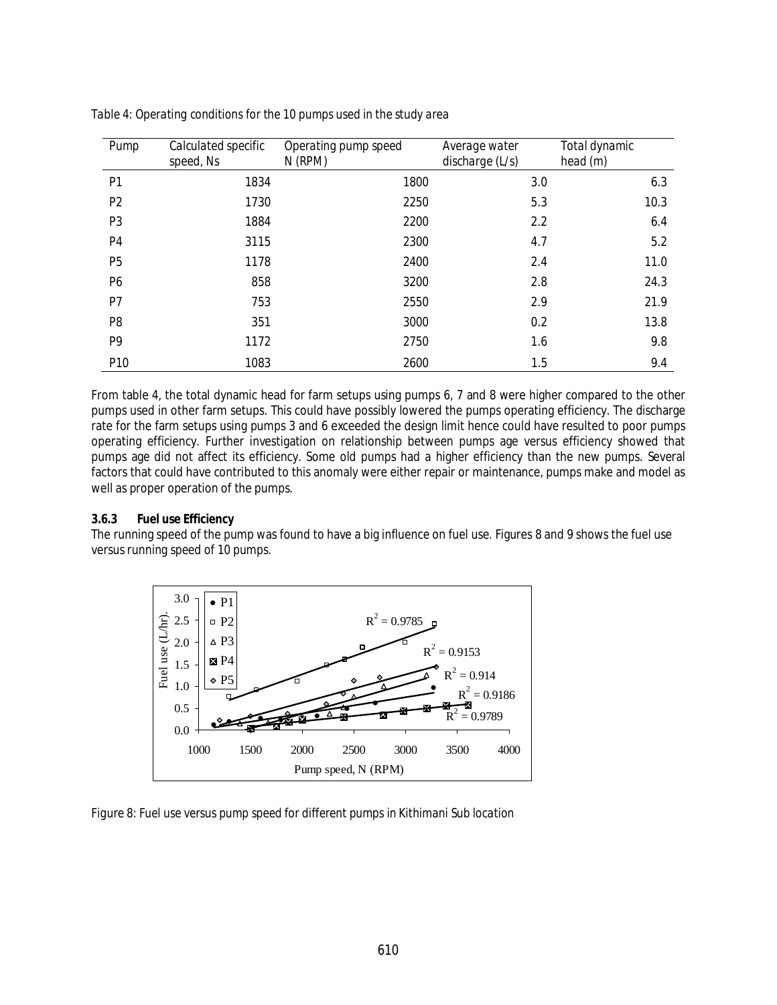| Pump           | Calculated specific<br>speed, Ns | Operating pump speed<br>$N$ (RPM) | Average water<br>discharge $(L/s)$ | Total dynamic<br>head $(m)$ |
|----------------|----------------------------------|-----------------------------------|------------------------------------|-----------------------------|
| P <sub>1</sub> | 1834                             | 1800                              | 3.0                                | 6.3                         |
| P <sub>2</sub> | 1730                             | 2250                              | 5.3                                | 10.3                        |
| P <sub>3</sub> | 1884                             | 2200                              | 2.2                                | 6.4                         |
| P <sub>4</sub> | 3115                             | 2300                              | 4.7                                | 5.2                         |
| <b>P5</b>      | 1178                             | 2400                              | 2.4                                | 11.0                        |
| P <sub>6</sub> | 858                              | 3200                              | 2.8                                | 24.3                        |
| P7             | 753                              | 2550                              | 2.9                                | 21.9                        |
| P <sub>8</sub> | 351                              | 3000                              | 0.2                                | 13.8                        |
| P <sub>9</sub> | 1172                             | 2750                              | 1.6                                | 9.8                         |
| P10            | 1083                             | 2600                              | 1.5                                | 9.4                         |

*Table 4: Operating conditions for the 10 pumps used in the study area*

From table 4, the total dynamic head for farm setups using pumps 6, 7 and 8 were higher compared to the other pumps used in other farm setups. This could have possibly lowered the pumps operating efficiency. The discharge rate for the farm setups using pumps 3 and 6 exceeded the design limit hence could have resulted to poor pumps operating efficiency. Further investigation on relationship between pumps age versus efficiency showed that pumps age did not affect its efficiency. Some old pumps had a higher efficiency than the new pumps. Several factors that could have contributed to this anomaly were either repair or maintenance, pumps make and model as well as proper operation of the pumps.

### **3.6.3 Fuel use Efficiency**

The running speed of the pump was found to have a big influence on fuel use. Figures 8 and 9 shows the fuel use versus running speed of 10 pumps.



*Figure 8: Fuel use versus pump speed for different pumps in Kithimani Sub location*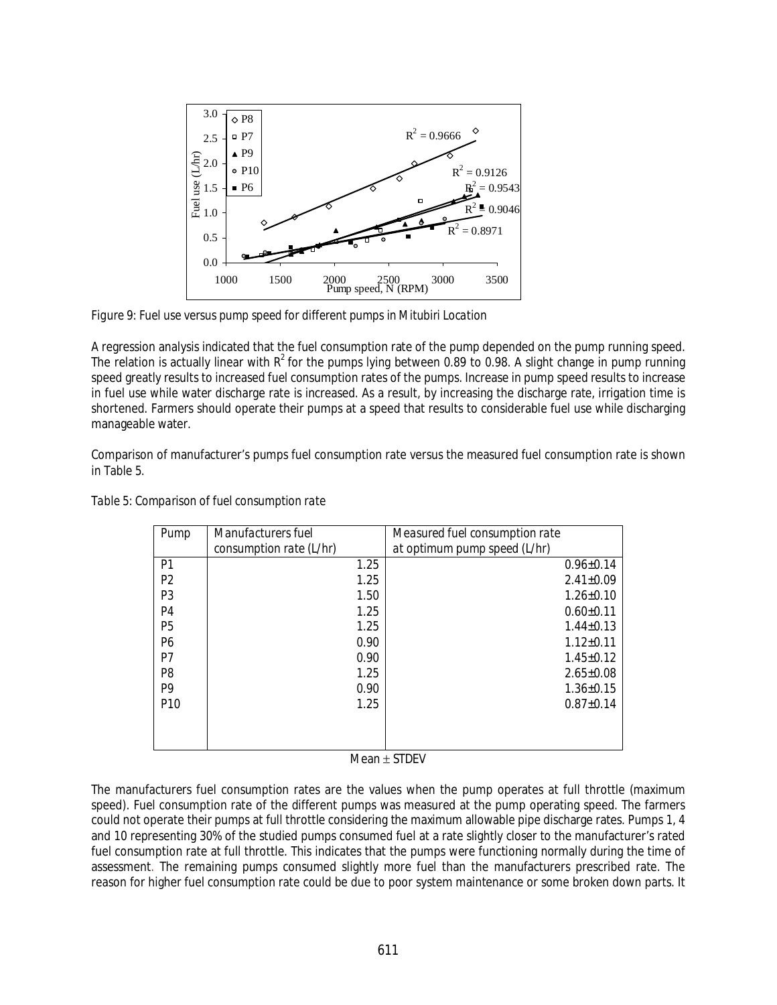

*Figure 9: Fuel use versus pump speed for different pumps in Mitubiri Location*

A regression analysis indicated that the fuel consumption rate of the pump depended on the pump running speed. The relation is actually linear with  $R^2$  for the pumps lying between 0.89 to 0.98. A slight change in pump running speed greatly results to increased fuel consumption rates of the pumps. Increase in pump speed results to increase in fuel use while water discharge rate is increased. As a result, by increasing the discharge rate, irrigation time is shortened. Farmers should operate their pumps at a speed that results to considerable fuel use while discharging manageable water.

Comparison of manufacturer's pumps fuel consumption rate versus the measured fuel consumption rate is shown in Table 5.

| Pump            | Manufacturers fuel      | Measured fuel consumption rate |  |
|-----------------|-------------------------|--------------------------------|--|
|                 | consumption rate (L/hr) | at optimum pump speed (L/hr)   |  |
| P <sub>1</sub>  | 1.25                    | $0.96 \pm 0.14$                |  |
| P <sub>2</sub>  | 1.25                    | $2.41 \pm 0.09$                |  |
| P <sub>3</sub>  | 1.50                    | $1.26 \pm 0.10$                |  |
| P <sub>4</sub>  | 1.25                    | $0.60 \pm 0.11$                |  |
| P <sub>5</sub>  | 1.25                    | $1.44 \pm 0.13$                |  |
| P <sub>6</sub>  | 0.90                    | $1.12 \pm 0.11$                |  |
| P7              | 0.90                    | $1.45 \pm 0.12$                |  |
| P <sub>8</sub>  | 1.25                    | $2.65 \pm 0.08$                |  |
| P <sub>9</sub>  | 0.90                    | $1.36 \pm 0.15$                |  |
| P <sub>10</sub> | 1.25                    | $0.87+0.14$                    |  |
|                 |                         |                                |  |
|                 |                         |                                |  |
|                 |                         |                                |  |

*Table 5: Comparison of fuel consumption rate*

 $Mean \pm STDEV$ 

The manufacturers fuel consumption rates are the values when the pump operates at full throttle (maximum speed). Fuel consumption rate of the different pumps was measured at the pump operating speed. The farmers could not operate their pumps at full throttle considering the maximum allowable pipe discharge rates. Pumps 1, 4 and 10 representing 30% of the studied pumps consumed fuel at a rate slightly closer to the manufacturer's rated fuel consumption rate at full throttle. This indicates that the pumps were functioning normally during the time of assessment. The remaining pumps consumed slightly more fuel than the manufacturers prescribed rate. The reason for higher fuel consumption rate could be due to poor system maintenance or some broken down parts. It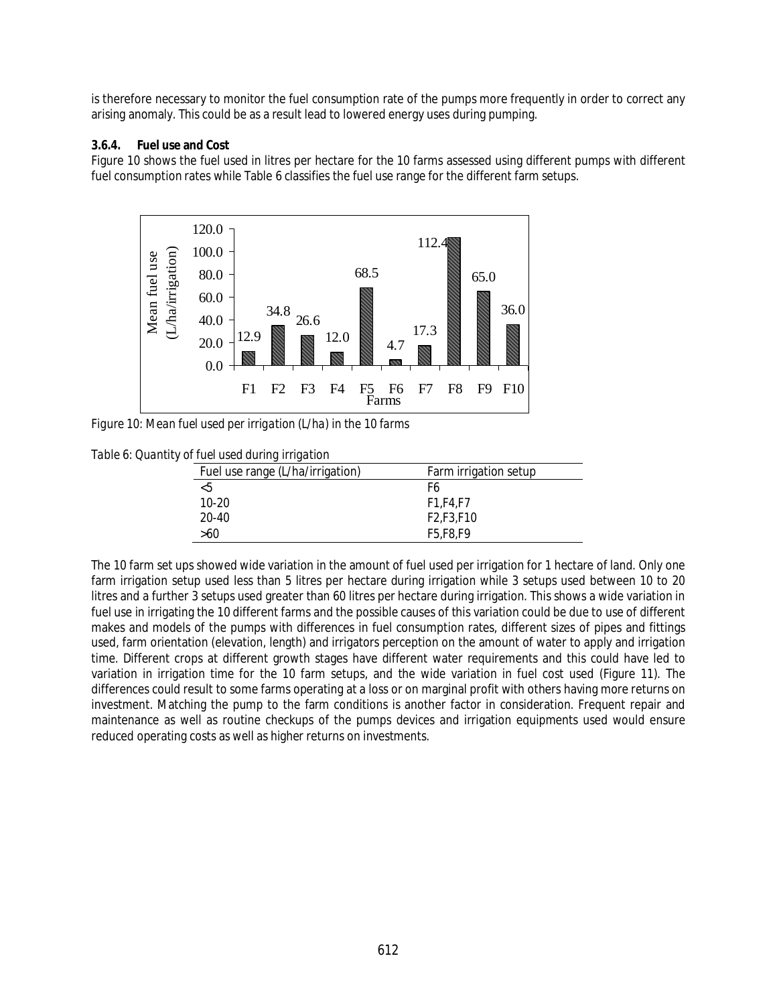is therefore necessary to monitor the fuel consumption rate of the pumps more frequently in order to correct any arising anomaly. This could be as a result lead to lowered energy uses during pumping.

### **3.6.4. Fuel use and Cost**

Figure 10 shows the fuel used in litres per hectare for the 10 farms assessed using different pumps with different fuel consumption rates while Table 6 classifies the fuel use range for the different farm setups.



*Figure 10: Mean fuel used per irrigation (L/ha) in the 10 farms*

*Table 6: Quantity of fuel used during irrigation*

| $\sigma$ , and about a an integration. |                                                 |  |  |  |
|----------------------------------------|-------------------------------------------------|--|--|--|
| Fuel use range (L/ha/irrigation)       | Farm irrigation setup                           |  |  |  |
| -5                                     | F6                                              |  |  |  |
| $10 - 20$                              | F1.F4.F7                                        |  |  |  |
| $20 - 40$                              | F <sub>2</sub> .F <sub>3</sub> .F <sub>10</sub> |  |  |  |
| >60                                    | F5.F8.F9                                        |  |  |  |

The 10 farm set ups showed wide variation in the amount of fuel used per irrigation for 1 hectare of land. Only one farm irrigation setup used less than 5 litres per hectare during irrigation while 3 setups used between 10 to 20 litres and a further 3 setups used greater than 60 litres per hectare during irrigation. This shows a wide variation in fuel use in irrigating the 10 different farms and the possible causes of this variation could be due to use of different makes and models of the pumps with differences in fuel consumption rates, different sizes of pipes and fittings used, farm orientation (elevation, length) and irrigators perception on the amount of water to apply and irrigation time. Different crops at different growth stages have different water requirements and this could have led to variation in irrigation time for the 10 farm setups, and the wide variation in fuel cost used (Figure 11). The differences could result to some farms operating at a loss or on marginal profit with others having more returns on investment. Matching the pump to the farm conditions is another factor in consideration. Frequent repair and maintenance as well as routine checkups of the pumps devices and irrigation equipments used would ensure reduced operating costs as well as higher returns on investments.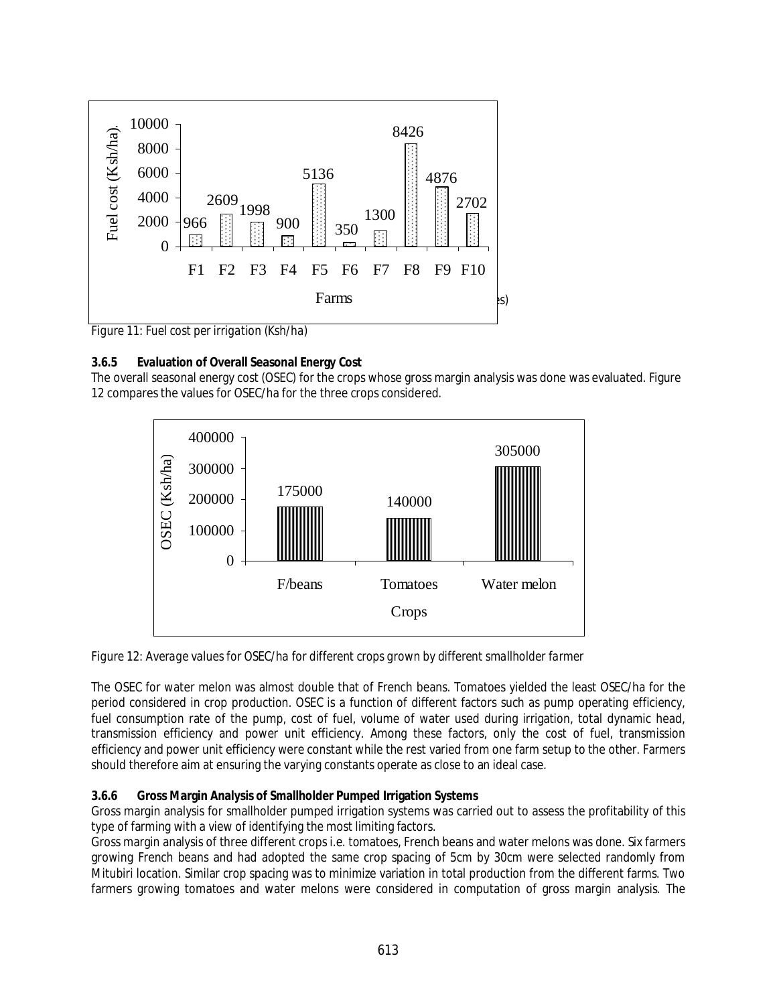

*Figure 11: Fuel cost per irrigation (Ksh/ha)*

## **3.6.5 Evaluation of Overall Seasonal Energy Cost**

The overall seasonal energy cost (OSEC) for the crops whose gross margin analysis was done was evaluated. Figure 12 compares the values for OSEC/ha for the three crops considered.



*Figure 12: Average values for OSEC/ha for different crops grown by different smallholder farmer*

The OSEC for water melon was almost double that of French beans. Tomatoes yielded the least OSEC/ha for the period considered in crop production. OSEC is a function of different factors such as pump operating efficiency, fuel consumption rate of the pump, cost of fuel, volume of water used during irrigation, total dynamic head, transmission efficiency and power unit efficiency. Among these factors, only the cost of fuel, transmission efficiency and power unit efficiency were constant while the rest varied from one farm setup to the other. Farmers should therefore aim at ensuring the varying constants operate as close to an ideal case.

### **3.6.6 Gross Margin Analysis of Smallholder Pumped Irrigation Systems**

Gross margin analysis for smallholder pumped irrigation systems was carried out to assess the profitability of this type of farming with a view of identifying the most limiting factors.

Gross margin analysis of three different crops i.e. tomatoes, French beans and water melons was done. Six farmers growing French beans and had adopted the same crop spacing of 5cm by 30cm were selected randomly from Mitubiri location. Similar crop spacing was to minimize variation in total production from the different farms. Two farmers growing tomatoes and water melons were considered in computation of gross margin analysis. The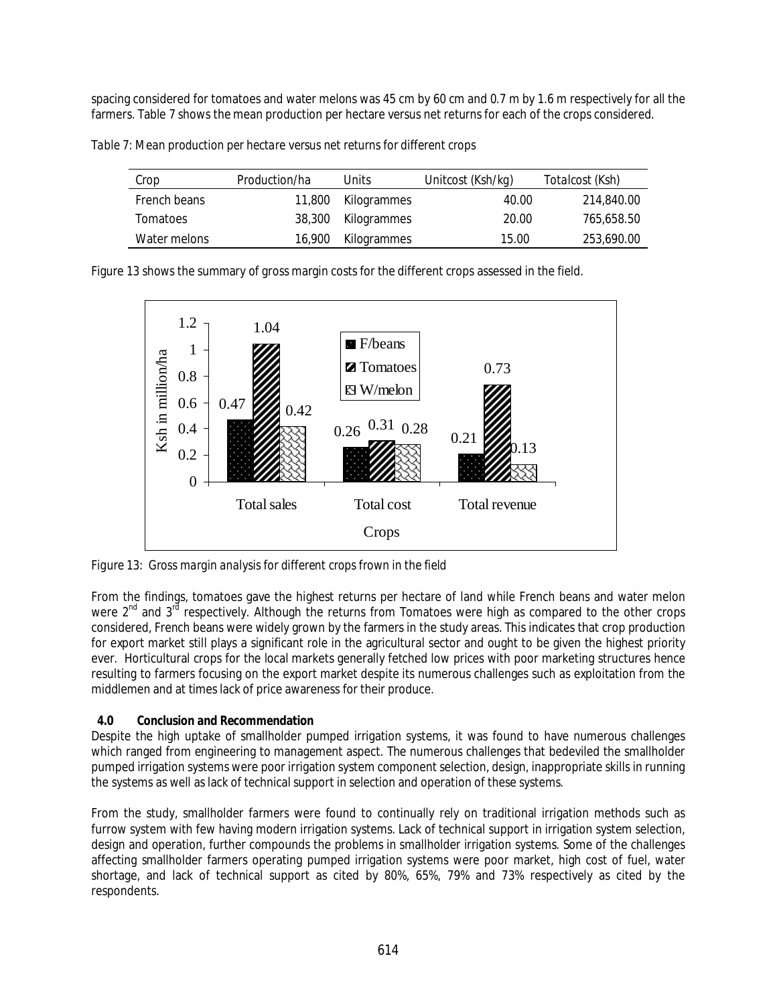spacing considered for tomatoes and water melons was 45 cm by 60 cm and 0.7 m by 1.6 m respectively for all the farmers. Table 7 shows the mean production per hectare versus net returns for each of the crops considered.

*Table 7: Mean production per hectare versus net returns for different crops*

| Crop         | Production/ha | Units              | Unitcost (Ksh/kg) | Totalcost (Ksh) |
|--------------|---------------|--------------------|-------------------|-----------------|
| French beans |               | 11,800 Kilogrammes | 40.00             | 214,840.00      |
| Tomatoes     |               | 38,300 Kilogrammes | 20.00             | 765.658.50      |
| Water melons | 16,900        | Kilogrammes        | 15.00             | 253,690.00      |

Figure 13 shows the summary of gross margin costs for the different crops assessed in the field.



*Figure 13: Gross margin analysis for different crops frown in the field*

From the findings, tomatoes gave the highest returns per hectare of land while French beans and water melon were 2<sup>nd</sup> and 3<sup>rd</sup> respectively. Although the returns from Tomatoes were high as compared to the other crops considered, French beans were widely grown by the farmers in the study areas. This indicates that crop production for export market still plays a significant role in the agricultural sector and ought to be given the highest priority ever. Horticultural crops for the local markets generally fetched low prices with poor marketing structures hence resulting to farmers focusing on the export market despite its numerous challenges such as exploitation from the middlemen and at times lack of price awareness for their produce.

# **4.0 Conclusion and Recommendation**

Despite the high uptake of smallholder pumped irrigation systems, it was found to have numerous challenges which ranged from engineering to management aspect. The numerous challenges that bedeviled the smallholder pumped irrigation systems were poor irrigation system component selection, design, inappropriate skills in running the systems as well as lack of technical support in selection and operation of these systems.

From the study, smallholder farmers were found to continually rely on traditional irrigation methods such as furrow system with few having modern irrigation systems. Lack of technical support in irrigation system selection, design and operation, further compounds the problems in smallholder irrigation systems. Some of the challenges affecting smallholder farmers operating pumped irrigation systems were poor market, high cost of fuel, water shortage, and lack of technical support as cited by 80%, 65%, 79% and 73% respectively as cited by the respondents.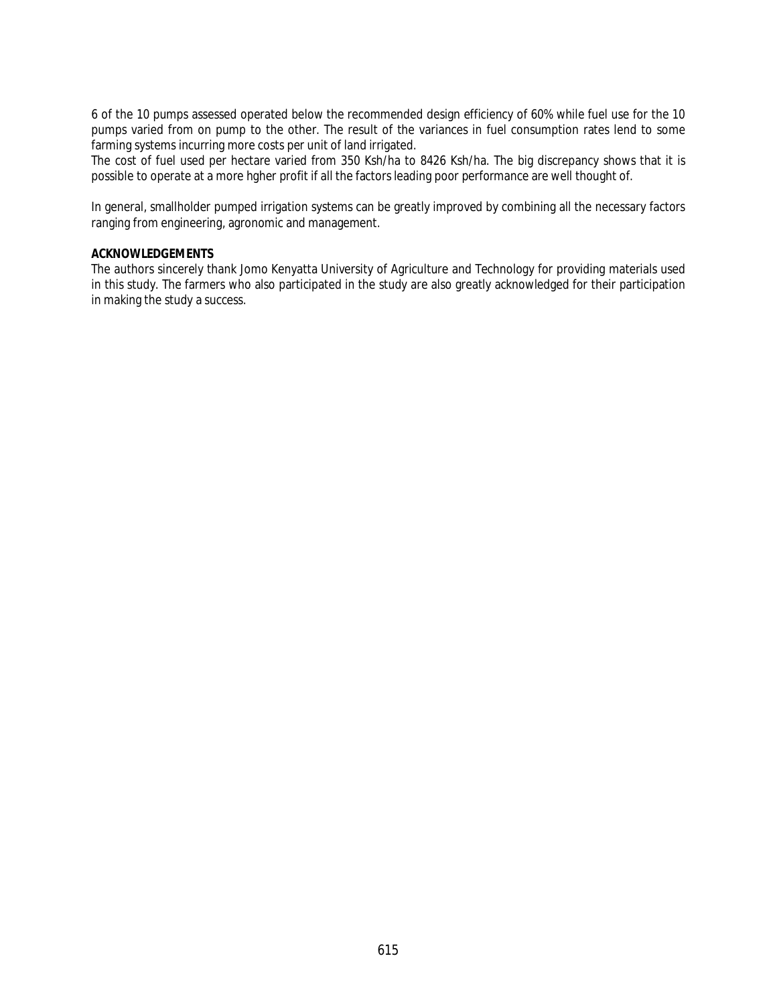6 of the 10 pumps assessed operated below the recommended design efficiency of 60% while fuel use for the 10 pumps varied from on pump to the other. The result of the variances in fuel consumption rates lend to some farming systems incurring more costs per unit of land irrigated.

The cost of fuel used per hectare varied from 350 Ksh/ha to 8426 Ksh/ha. The big discrepancy shows that it is possible to operate at a more hgher profit if all the factors leading poor performance are well thought of.

In general, smallholder pumped irrigation systems can be greatly improved by combining all the necessary factors ranging from engineering, agronomic and management.

### **ACKNOWLEDGEMENTS**

The authors sincerely thank Jomo Kenyatta University of Agriculture and Technology for providing materials used in this study. The farmers who also participated in the study are also greatly acknowledged for their participation in making the study a success.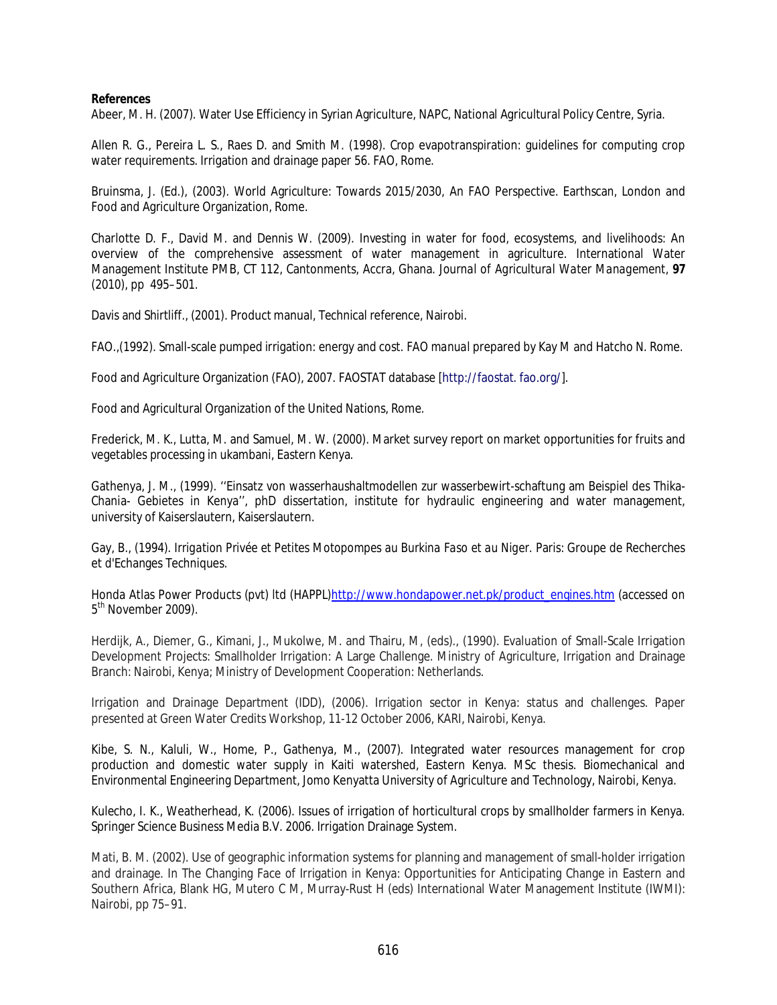#### **References**

Abeer, M. H. (2007). Water Use Efficiency in Syrian Agriculture, NAPC, National Agricultural Policy Centre, Syria.

Allen R. G., Pereira L. S., Raes D. and Smith M. (1998). Crop evapotranspiration: guidelines for computing crop water requirements. Irrigation and drainage paper 56. FAO, Rome.

Bruinsma, J. (Ed.), (2003). World Agriculture: Towards 2015/2030, An FAO Perspective. Earthscan, London and Food and Agriculture Organization, Rome.

Charlotte D. F., David M. and Dennis W. (2009). Investing in water for food, ecosystems, and livelihoods: An overview of the comprehensive assessment of water management in agriculture. International Water Management Institute PMB, CT 112, Cantonments, Accra, Ghana. *Journal of Agricultural Water Management,* **97** (2010), pp 495–501.

Davis and Shirtliff., (2001). Product manual, Technical reference, Nairobi.

FAO.,(1992). Small-scale pumped irrigation: energy and cost. *FAO manual* prepared by Kay M and Hatcho N. Rome.

Food and Agriculture Organization (FAO), 2007. FAOSTAT database [http://faostat. fao.org/].

Food and Agricultural Organization of the United Nations, Rome.

Frederick, M. K., Lutta, M. and Samuel, M. W. (2000). Market survey report on market opportunities for fruits and vegetables processing in ukambani, Eastern Kenya.

Gathenya, J. M., (1999). ''Einsatz von wasserhaushaltmodellen zur wasserbewirt-schaftung am Beispiel des Thika-Chania- Gebietes in Kenya'', phD dissertation, institute for hydraulic engineering and water management, university of Kaiserslautern, Kaiserslautern.

Gay, B., (1994). *Irrigation Privée et Petites Motopompes au Burkina Faso et au Niger.* Paris: Groupe de Recherches et d'Echanges Techniques.

Honda Atlas Power Products (pvt) ltd (HAPPL)http://www.hondapower.net.pk/product\_engines.htm (accessed on 5<sup>th</sup> November 2009).

Herdijk, A., Diemer, G., Kimani, J., Mukolwe, M. and Thairu, M, (eds)., (1990). Evaluation of Small-Scale Irrigation Development Projects: Smallholder Irrigation: A Large Challenge. Ministry of Agriculture, Irrigation and Drainage Branch: Nairobi, Kenya; Ministry of Development Cooperation: Netherlands.

Irrigation and Drainage Department (IDD), (2006). Irrigation sector in Kenya: status and challenges. Paper presented at Green Water Credits Workshop, 11-12 October 2006, KARI, Nairobi, Kenya.

Kibe, S. N., Kaluli, W., Home, P., Gathenya, M., (2007). Integrated water resources management for crop production and domestic water supply in Kaiti watershed, Eastern Kenya. MSc thesis. Biomechanical and Environmental Engineering Department, Jomo Kenyatta University of Agriculture and Technology, Nairobi, Kenya.

Kulecho, I. K., Weatherhead, K. (2006). Issues of irrigation of horticultural crops by smallholder farmers in Kenya. Springer Science Business Media B.V. 2006. Irrigation Drainage System.

Mati, B. M. (2002). Use of geographic information systems for planning and management of small-holder irrigation and drainage. In The Changing Face of Irrigation in Kenya: Opportunities for Anticipating Change in Eastern and Southern Africa, Blank HG, Mutero C M, Murray-Rust H (eds) International Water Management Institute (IWMI): Nairobi, pp 75–91.